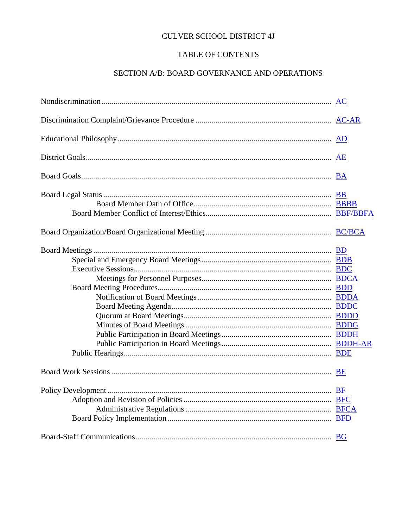## **CULVER SCHOOL DISTRICT 4J**

## TABLE OF CONTENTS

## SECTION A/B: BOARD GOVERNANCE AND OPERATIONS